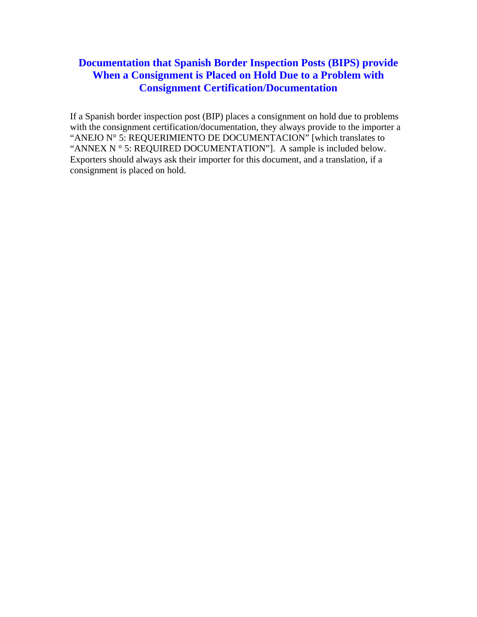## **Documentation that Spanish Border Inspection Posts (BIPS) provide When a Consignment is Placed on Hold Due to a Problem with Consignment Certification/Documentation**

If a Spanish border inspection post (BIP) places a consignment on hold due to problems with the consignment certification/documentation, they always provide to the importer a "ANEJO N° 5: REQUERIMIENTO DE DOCUMENTACION" [which translates to "ANNEX N ° 5: REQUIRED DOCUMENTATION"]. A sample is included below. Exporters should always ask their importer for this document, and a translation, if a consignment is placed on hold.